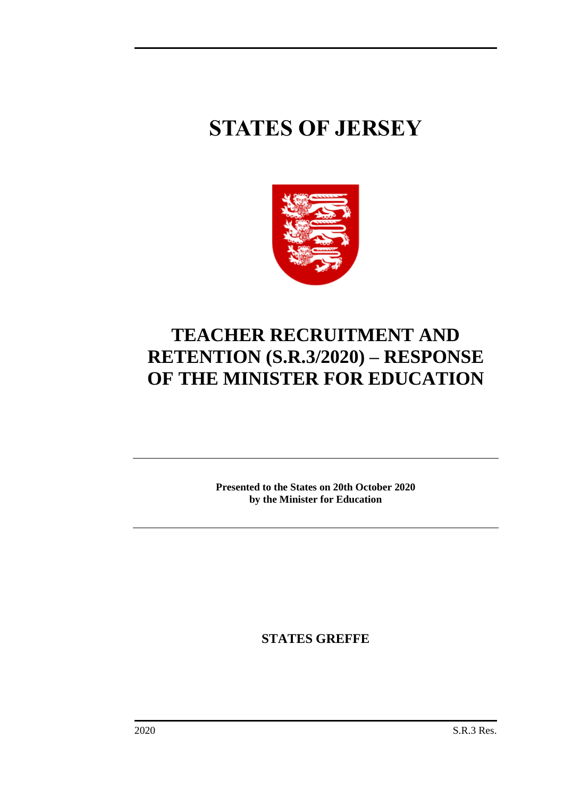# **STATES OF JERSEY**



## **TEACHER RECRUITMENT AND RETENTION (S.R.3/2020) – RESPONSE OF THE MINISTER FOR EDUCATION**

**Presented to the States on 20th October 2020 by the Minister for Education**

**STATES GREFFE**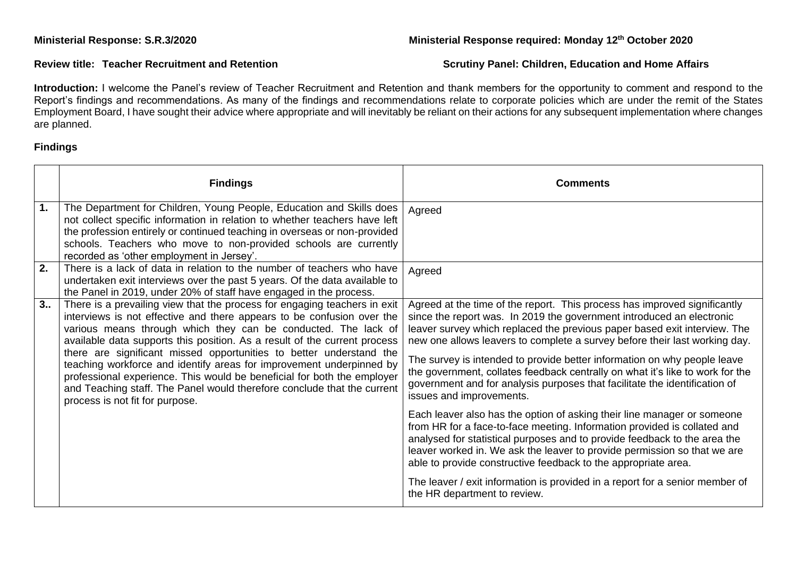### **Ministerial Response: S.R.3/2020 Ministerial Response required: Monday 12th October 2020**

### **Review title: Teacher Recruitment and Retention Serutiny Panel: Children, Education and Home Affairs**  Scrutiny Panel: Children, Education and Home Affairs

Introduction: I welcome the Panel's review of Teacher Recruitment and Retention and thank members for the opportunity to comment and respond to the Report's findings and recommendations. As many of the findings and recommendations relate to corporate policies which are under the remit of the States Employment Board, I have sought their advice where appropriate and will inevitably be reliant on their actions for any subsequent implementation where changes are planned.

### **Findings**

|    | <b>Findings</b>                                                                                                                                                                                                                                                                                                                                                                                                                                                                                                                                                                                                                            | <b>Comments</b>                                                                                                                                                                                                                                                                                                                                                                                                                                                                                                                                                                                                                                                                                                                                                                                                                                                                                                                                                                                                                                                                        |
|----|--------------------------------------------------------------------------------------------------------------------------------------------------------------------------------------------------------------------------------------------------------------------------------------------------------------------------------------------------------------------------------------------------------------------------------------------------------------------------------------------------------------------------------------------------------------------------------------------------------------------------------------------|----------------------------------------------------------------------------------------------------------------------------------------------------------------------------------------------------------------------------------------------------------------------------------------------------------------------------------------------------------------------------------------------------------------------------------------------------------------------------------------------------------------------------------------------------------------------------------------------------------------------------------------------------------------------------------------------------------------------------------------------------------------------------------------------------------------------------------------------------------------------------------------------------------------------------------------------------------------------------------------------------------------------------------------------------------------------------------------|
| 1. | The Department for Children, Young People, Education and Skills does<br>not collect specific information in relation to whether teachers have left<br>the profession entirely or continued teaching in overseas or non-provided<br>schools. Teachers who move to non-provided schools are currently<br>recorded as 'other employment in Jersey'.                                                                                                                                                                                                                                                                                           | Agreed                                                                                                                                                                                                                                                                                                                                                                                                                                                                                                                                                                                                                                                                                                                                                                                                                                                                                                                                                                                                                                                                                 |
| 2. | There is a lack of data in relation to the number of teachers who have<br>undertaken exit interviews over the past 5 years. Of the data available to<br>the Panel in 2019, under 20% of staff have engaged in the process.                                                                                                                                                                                                                                                                                                                                                                                                                 | Agreed                                                                                                                                                                                                                                                                                                                                                                                                                                                                                                                                                                                                                                                                                                                                                                                                                                                                                                                                                                                                                                                                                 |
| 3. | There is a prevailing view that the process for engaging teachers in exit<br>interviews is not effective and there appears to be confusion over the<br>various means through which they can be conducted. The lack of<br>available data supports this position. As a result of the current process<br>there are significant missed opportunities to better understand the<br>teaching workforce and identify areas for improvement underpinned by<br>professional experience. This would be beneficial for both the employer<br>and Teaching staff. The Panel would therefore conclude that the current<br>process is not fit for purpose. | Agreed at the time of the report. This process has improved significantly<br>since the report was. In 2019 the government introduced an electronic<br>leaver survey which replaced the previous paper based exit interview. The<br>new one allows leavers to complete a survey before their last working day.<br>The survey is intended to provide better information on why people leave<br>the government, collates feedback centrally on what it's like to work for the<br>government and for analysis purposes that facilitate the identification of<br>issues and improvements.<br>Each leaver also has the option of asking their line manager or someone<br>from HR for a face-to-face meeting. Information provided is collated and<br>analysed for statistical purposes and to provide feedback to the area the<br>leaver worked in. We ask the leaver to provide permission so that we are<br>able to provide constructive feedback to the appropriate area.<br>The leaver / exit information is provided in a report for a senior member of<br>the HR department to review. |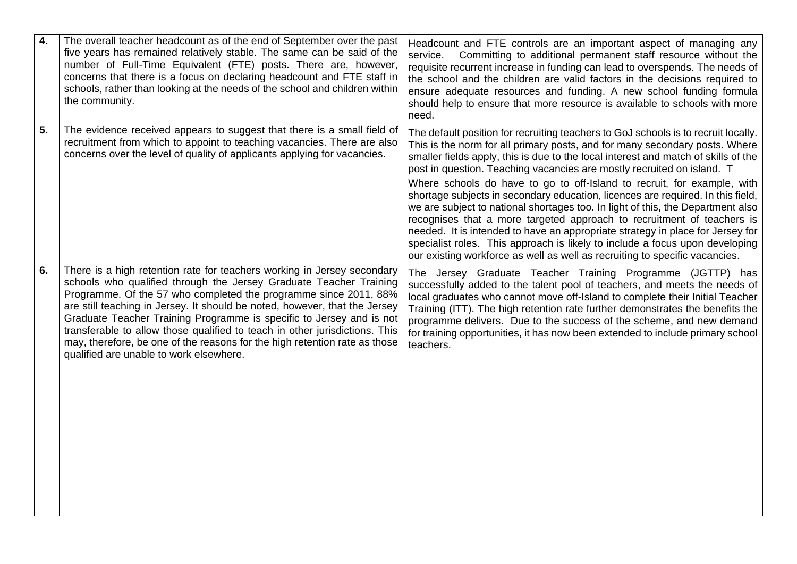| 4. | The overall teacher headcount as of the end of September over the past<br>five years has remained relatively stable. The same can be said of the<br>number of Full-Time Equivalent (FTE) posts. There are, however,<br>concerns that there is a focus on declaring headcount and FTE staff in<br>schools, rather than looking at the needs of the school and children within<br>the community.                                                                                                                                                                                  | Headcount and FTE controls are an important aspect of managing any<br>Committing to additional permanent staff resource without the<br>service.<br>requisite recurrent increase in funding can lead to overspends. The needs of<br>the school and the children are valid factors in the decisions required to<br>ensure adequate resources and funding. A new school funding formula<br>should help to ensure that more resource is available to schools with more<br>need.                                                                                                                                                                                                                                                                                                                                                                                                                                   |
|----|---------------------------------------------------------------------------------------------------------------------------------------------------------------------------------------------------------------------------------------------------------------------------------------------------------------------------------------------------------------------------------------------------------------------------------------------------------------------------------------------------------------------------------------------------------------------------------|---------------------------------------------------------------------------------------------------------------------------------------------------------------------------------------------------------------------------------------------------------------------------------------------------------------------------------------------------------------------------------------------------------------------------------------------------------------------------------------------------------------------------------------------------------------------------------------------------------------------------------------------------------------------------------------------------------------------------------------------------------------------------------------------------------------------------------------------------------------------------------------------------------------|
| 5. | The evidence received appears to suggest that there is a small field of<br>recruitment from which to appoint to teaching vacancies. There are also<br>concerns over the level of quality of applicants applying for vacancies.                                                                                                                                                                                                                                                                                                                                                  | The default position for recruiting teachers to GoJ schools is to recruit locally.<br>This is the norm for all primary posts, and for many secondary posts. Where<br>smaller fields apply, this is due to the local interest and match of skills of the<br>post in question. Teaching vacancies are mostly recruited on island. T<br>Where schools do have to go to off-Island to recruit, for example, with<br>shortage subjects in secondary education, licences are required. In this field,<br>we are subject to national shortages too. In light of this, the Department also<br>recognises that a more targeted approach to recruitment of teachers is<br>needed. It is intended to have an appropriate strategy in place for Jersey for<br>specialist roles. This approach is likely to include a focus upon developing<br>our existing workforce as well as well as recruiting to specific vacancies. |
| 6. | There is a high retention rate for teachers working in Jersey secondary<br>schools who qualified through the Jersey Graduate Teacher Training<br>Programme. Of the 57 who completed the programme since 2011, 88%<br>are still teaching in Jersey. It should be noted, however, that the Jersey<br>Graduate Teacher Training Programme is specific to Jersey and is not<br>transferable to allow those qualified to teach in other jurisdictions. This<br>may, therefore, be one of the reasons for the high retention rate as those<br>qualified are unable to work elsewhere. | The Jersey Graduate Teacher Training Programme (JGTTP) has<br>successfully added to the talent pool of teachers, and meets the needs of<br>local graduates who cannot move off-Island to complete their Initial Teacher<br>Training (ITT). The high retention rate further demonstrates the benefits the<br>programme delivers. Due to the success of the scheme, and new demand<br>for training opportunities, it has now been extended to include primary school<br>teachers.                                                                                                                                                                                                                                                                                                                                                                                                                               |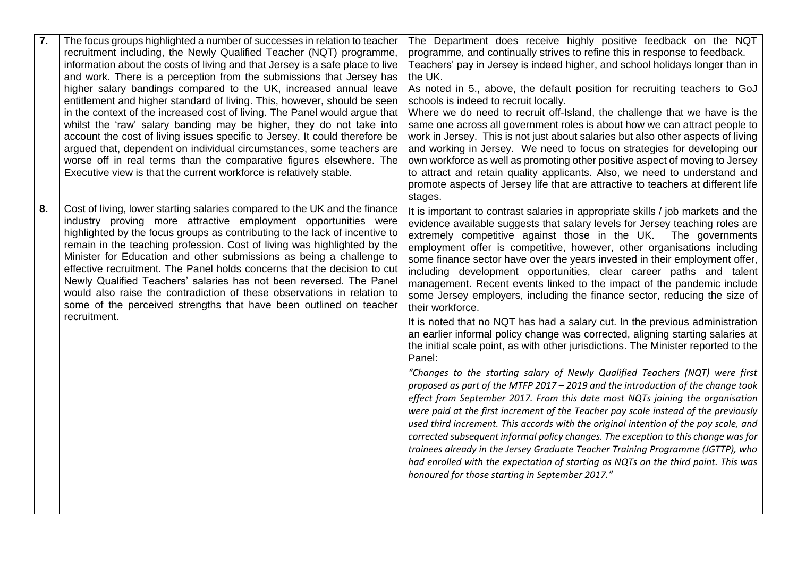| 7. | The focus groups highlighted a number of successes in relation to teacher<br>recruitment including, the Newly Qualified Teacher (NQT) programme,<br>information about the costs of living and that Jersey is a safe place to live<br>and work. There is a perception from the submissions that Jersey has<br>higher salary bandings compared to the UK, increased annual leave<br>entitlement and higher standard of living. This, however, should be seen<br>in the context of the increased cost of living. The Panel would argue that<br>whilst the 'raw' salary banding may be higher, they do not take into<br>account the cost of living issues specific to Jersey. It could therefore be<br>argued that, dependent on individual circumstances, some teachers are<br>worse off in real terms than the comparative figures elsewhere. The<br>Executive view is that the current workforce is relatively stable. | The Department does receive highly positive feedback on the NQT<br>programme, and continually strives to refine this in response to feedback.<br>Teachers' pay in Jersey is indeed higher, and school holidays longer than in<br>the UK.<br>As noted in 5., above, the default position for recruiting teachers to GoJ<br>schools is indeed to recruit locally.<br>Where we do need to recruit off-Island, the challenge that we have is the<br>same one across all government roles is about how we can attract people to<br>work in Jersey. This is not just about salaries but also other aspects of living<br>and working in Jersey. We need to focus on strategies for developing our<br>own workforce as well as promoting other positive aspect of moving to Jersey<br>to attract and retain quality applicants. Also, we need to understand and<br>promote aspects of Jersey life that are attractive to teachers at different life<br>stages.                                                                                                                                                                                                                                                                                                                                                                                                                                                                                                                                                                                                                                                                                                                |
|----|-----------------------------------------------------------------------------------------------------------------------------------------------------------------------------------------------------------------------------------------------------------------------------------------------------------------------------------------------------------------------------------------------------------------------------------------------------------------------------------------------------------------------------------------------------------------------------------------------------------------------------------------------------------------------------------------------------------------------------------------------------------------------------------------------------------------------------------------------------------------------------------------------------------------------|-----------------------------------------------------------------------------------------------------------------------------------------------------------------------------------------------------------------------------------------------------------------------------------------------------------------------------------------------------------------------------------------------------------------------------------------------------------------------------------------------------------------------------------------------------------------------------------------------------------------------------------------------------------------------------------------------------------------------------------------------------------------------------------------------------------------------------------------------------------------------------------------------------------------------------------------------------------------------------------------------------------------------------------------------------------------------------------------------------------------------------------------------------------------------------------------------------------------------------------------------------------------------------------------------------------------------------------------------------------------------------------------------------------------------------------------------------------------------------------------------------------------------------------------------------------------------------------------------------------------------------------------------------------------------|
| 8. | Cost of living, lower starting salaries compared to the UK and the finance<br>industry proving more attractive employment opportunities were<br>highlighted by the focus groups as contributing to the lack of incentive to<br>remain in the teaching profession. Cost of living was highlighted by the<br>Minister for Education and other submissions as being a challenge to<br>effective recruitment. The Panel holds concerns that the decision to cut<br>Newly Qualified Teachers' salaries has not been reversed. The Panel<br>would also raise the contradiction of these observations in relation to<br>some of the perceived strengths that have been outlined on teacher<br>recruitment.                                                                                                                                                                                                                   | It is important to contrast salaries in appropriate skills / job markets and the<br>evidence available suggests that salary levels for Jersey teaching roles are<br>extremely competitive against those in the UK. The governments<br>employment offer is competitive, however, other organisations including<br>some finance sector have over the years invested in their employment offer,<br>including development opportunities, clear career paths and talent<br>management. Recent events linked to the impact of the pandemic include<br>some Jersey employers, including the finance sector, reducing the size of<br>their workforce.<br>It is noted that no NQT has had a salary cut. In the previous administration<br>an earlier informal policy change was corrected, aligning starting salaries at<br>the initial scale point, as with other jurisdictions. The Minister reported to the<br>Panel:<br>"Changes to the starting salary of Newly Qualified Teachers (NQT) were first<br>proposed as part of the MTFP 2017 - 2019 and the introduction of the change took<br>effect from September 2017. From this date most NQTs joining the organisation<br>were paid at the first increment of the Teacher pay scale instead of the previously<br>used third increment. This accords with the original intention of the pay scale, and<br>corrected subsequent informal policy changes. The exception to this change was for<br>trainees already in the Jersey Graduate Teacher Training Programme (JGTTP), who<br>had enrolled with the expectation of starting as NQTs on the third point. This was<br>honoured for those starting in September 2017." |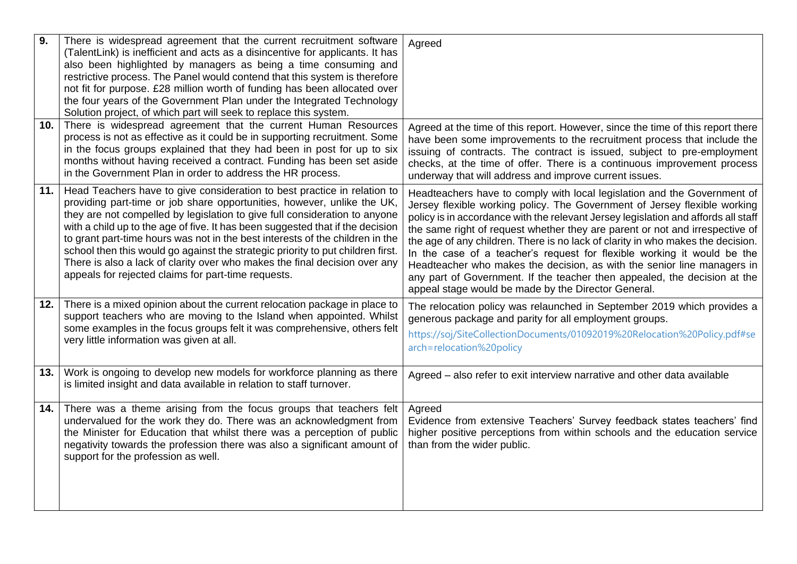| 9.  | There is widespread agreement that the current recruitment software<br>(TalentLink) is inefficient and acts as a disincentive for applicants. It has<br>also been highlighted by managers as being a time consuming and<br>restrictive process. The Panel would contend that this system is therefore<br>not fit for purpose. £28 million worth of funding has been allocated over<br>the four years of the Government Plan under the Integrated Technology<br>Solution project, of which part will seek to replace this system.                                                                                             | Agreed                                                                                                                                                                                                                                                                                                                                                                                                                                                                                                                                                                                                                                                                                                   |
|-----|------------------------------------------------------------------------------------------------------------------------------------------------------------------------------------------------------------------------------------------------------------------------------------------------------------------------------------------------------------------------------------------------------------------------------------------------------------------------------------------------------------------------------------------------------------------------------------------------------------------------------|----------------------------------------------------------------------------------------------------------------------------------------------------------------------------------------------------------------------------------------------------------------------------------------------------------------------------------------------------------------------------------------------------------------------------------------------------------------------------------------------------------------------------------------------------------------------------------------------------------------------------------------------------------------------------------------------------------|
| 10. | There is widespread agreement that the current Human Resources<br>process is not as effective as it could be in supporting recruitment. Some<br>in the focus groups explained that they had been in post for up to six<br>months without having received a contract. Funding has been set aside<br>in the Government Plan in order to address the HR process.                                                                                                                                                                                                                                                                | Agreed at the time of this report. However, since the time of this report there<br>have been some improvements to the recruitment process that include the<br>issuing of contracts. The contract is issued, subject to pre-employment<br>checks, at the time of offer. There is a continuous improvement process<br>underway that will address and improve current issues.                                                                                                                                                                                                                                                                                                                               |
| 11. | Head Teachers have to give consideration to best practice in relation to<br>providing part-time or job share opportunities, however, unlike the UK,<br>they are not compelled by legislation to give full consideration to anyone<br>with a child up to the age of five. It has been suggested that if the decision<br>to grant part-time hours was not in the best interests of the children in the<br>school then this would go against the strategic priority to put children first.<br>There is also a lack of clarity over who makes the final decision over any<br>appeals for rejected claims for part-time requests. | Headteachers have to comply with local legislation and the Government of<br>Jersey flexible working policy. The Government of Jersey flexible working<br>policy is in accordance with the relevant Jersey legislation and affords all staff<br>the same right of request whether they are parent or not and irrespective of<br>the age of any children. There is no lack of clarity in who makes the decision.<br>In the case of a teacher's request for flexible working it would be the<br>Headteacher who makes the decision, as with the senior line managers in<br>any part of Government. If the teacher then appealed, the decision at the<br>appeal stage would be made by the Director General. |
| 12. | There is a mixed opinion about the current relocation package in place to<br>support teachers who are moving to the Island when appointed. Whilst<br>some examples in the focus groups felt it was comprehensive, others felt<br>very little information was given at all.                                                                                                                                                                                                                                                                                                                                                   | The relocation policy was relaunched in September 2019 which provides a<br>generous package and parity for all employment groups.<br>https://soj/SiteCollectionDocuments/01092019%20Relocation%20Policy.pdf#se<br>arch=relocation%20policy                                                                                                                                                                                                                                                                                                                                                                                                                                                               |
| 13. | Work is ongoing to develop new models for workforce planning as there<br>is limited insight and data available in relation to staff turnover.                                                                                                                                                                                                                                                                                                                                                                                                                                                                                | Agreed - also refer to exit interview narrative and other data available                                                                                                                                                                                                                                                                                                                                                                                                                                                                                                                                                                                                                                 |
| 14. | There was a theme arising from the focus groups that teachers felt<br>undervalued for the work they do. There was an acknowledgment from<br>the Minister for Education that whilst there was a perception of public<br>negativity towards the profession there was also a significant amount of<br>support for the profession as well.                                                                                                                                                                                                                                                                                       | Agreed<br>Evidence from extensive Teachers' Survey feedback states teachers' find<br>higher positive perceptions from within schools and the education service<br>than from the wider public.                                                                                                                                                                                                                                                                                                                                                                                                                                                                                                            |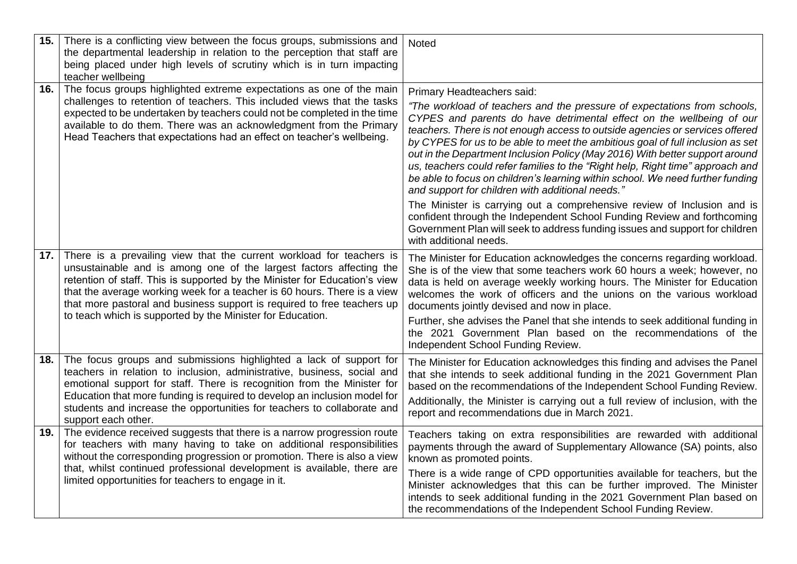| 15. | There is a conflicting view between the focus groups, submissions and<br>the departmental leadership in relation to the perception that staff are<br>being placed under high levels of scrutiny which is in turn impacting<br>teacher wellbeing                                                                                                                                                                                                | Noted                                                                                                                                                                                                                                                                                                                                                                                                                                                                                                                                                                                                                                                                                                                                                                                                          |
|-----|------------------------------------------------------------------------------------------------------------------------------------------------------------------------------------------------------------------------------------------------------------------------------------------------------------------------------------------------------------------------------------------------------------------------------------------------|----------------------------------------------------------------------------------------------------------------------------------------------------------------------------------------------------------------------------------------------------------------------------------------------------------------------------------------------------------------------------------------------------------------------------------------------------------------------------------------------------------------------------------------------------------------------------------------------------------------------------------------------------------------------------------------------------------------------------------------------------------------------------------------------------------------|
| 16. | The focus groups highlighted extreme expectations as one of the main<br>challenges to retention of teachers. This included views that the tasks<br>expected to be undertaken by teachers could not be completed in the time<br>available to do them. There was an acknowledgment from the Primary<br>Head Teachers that expectations had an effect on teacher's wellbeing.                                                                     | Primary Headteachers said:<br>"The workload of teachers and the pressure of expectations from schools,<br>CYPES and parents do have detrimental effect on the wellbeing of our<br>teachers. There is not enough access to outside agencies or services offered<br>by CYPES for us to be able to meet the ambitious goal of full inclusion as set<br>out in the Department Inclusion Policy (May 2016) With better support around<br>us, teachers could refer families to the "Right help, Right time" approach and<br>be able to focus on children's learning within school. We need further funding<br>and support for children with additional needs."<br>The Minister is carrying out a comprehensive review of Inclusion and is<br>confident through the Independent School Funding Review and forthcoming |
|     |                                                                                                                                                                                                                                                                                                                                                                                                                                                | Government Plan will seek to address funding issues and support for children<br>with additional needs.                                                                                                                                                                                                                                                                                                                                                                                                                                                                                                                                                                                                                                                                                                         |
| 17. | There is a prevailing view that the current workload for teachers is<br>unsustainable and is among one of the largest factors affecting the<br>retention of staff. This is supported by the Minister for Education's view<br>that the average working week for a teacher is 60 hours. There is a view<br>that more pastoral and business support is required to free teachers up<br>to teach which is supported by the Minister for Education. | The Minister for Education acknowledges the concerns regarding workload.<br>She is of the view that some teachers work 60 hours a week; however, no<br>data is held on average weekly working hours. The Minister for Education<br>welcomes the work of officers and the unions on the various workload<br>documents jointly devised and now in place.<br>Further, she advises the Panel that she intends to seek additional funding in<br>the 2021 Government Plan based on the recommendations of the<br>Independent School Funding Review.                                                                                                                                                                                                                                                                  |
| 18. | The focus groups and submissions highlighted a lack of support for<br>teachers in relation to inclusion, administrative, business, social and<br>emotional support for staff. There is recognition from the Minister for<br>Education that more funding is required to develop an inclusion model for<br>students and increase the opportunities for teachers to collaborate and<br>support each other.                                        | The Minister for Education acknowledges this finding and advises the Panel<br>that she intends to seek additional funding in the 2021 Government Plan<br>based on the recommendations of the Independent School Funding Review.<br>Additionally, the Minister is carrying out a full review of inclusion, with the<br>report and recommendations due in March 2021.                                                                                                                                                                                                                                                                                                                                                                                                                                            |
| 19. | The evidence received suggests that there is a narrow progression route<br>for teachers with many having to take on additional responsibilities<br>without the corresponding progression or promotion. There is also a view<br>that, whilst continued professional development is available, there are<br>limited opportunities for teachers to engage in it.                                                                                  | Teachers taking on extra responsibilities are rewarded with additional<br>payments through the award of Supplementary Allowance (SA) points, also<br>known as promoted points.<br>There is a wide range of CPD opportunities available for teachers, but the<br>Minister acknowledges that this can be further improved. The Minister<br>intends to seek additional funding in the 2021 Government Plan based on<br>the recommendations of the Independent School Funding Review.                                                                                                                                                                                                                                                                                                                              |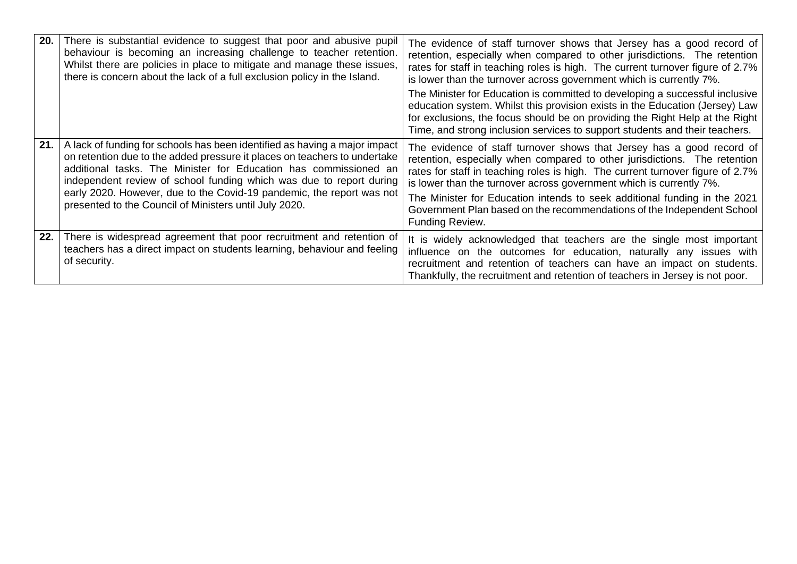| 20. | There is substantial evidence to suggest that poor and abusive pupil<br>behaviour is becoming an increasing challenge to teacher retention.<br>Whilst there are policies in place to mitigate and manage these issues,<br>there is concern about the lack of a full exclusion policy in the Island.                                                                                                                                   | The evidence of staff turnover shows that Jersey has a good record of<br>retention, especially when compared to other jurisdictions. The retention<br>rates for staff in teaching roles is high. The current turnover figure of 2.7%<br>is lower than the turnover across government which is currently 7%.                                                                                                                                                                           |
|-----|---------------------------------------------------------------------------------------------------------------------------------------------------------------------------------------------------------------------------------------------------------------------------------------------------------------------------------------------------------------------------------------------------------------------------------------|---------------------------------------------------------------------------------------------------------------------------------------------------------------------------------------------------------------------------------------------------------------------------------------------------------------------------------------------------------------------------------------------------------------------------------------------------------------------------------------|
|     |                                                                                                                                                                                                                                                                                                                                                                                                                                       | The Minister for Education is committed to developing a successful inclusive<br>education system. Whilst this provision exists in the Education (Jersey) Law<br>for exclusions, the focus should be on providing the Right Help at the Right<br>Time, and strong inclusion services to support students and their teachers.                                                                                                                                                           |
| 21. | A lack of funding for schools has been identified as having a major impact<br>on retention due to the added pressure it places on teachers to undertake<br>additional tasks. The Minister for Education has commissioned an<br>independent review of school funding which was due to report during<br>early 2020. However, due to the Covid-19 pandemic, the report was not<br>presented to the Council of Ministers until July 2020. | The evidence of staff turnover shows that Jersey has a good record of<br>retention, especially when compared to other jurisdictions. The retention<br>rates for staff in teaching roles is high. The current turnover figure of 2.7%<br>is lower than the turnover across government which is currently 7%.<br>The Minister for Education intends to seek additional funding in the 2021<br>Government Plan based on the recommendations of the Independent School<br>Funding Review. |
| 22. | There is widespread agreement that poor recruitment and retention of<br>teachers has a direct impact on students learning, behaviour and feeling<br>of security.                                                                                                                                                                                                                                                                      | It is widely acknowledged that teachers are the single most important<br>influence on the outcomes for education, naturally any issues with<br>recruitment and retention of teachers can have an impact on students.<br>Thankfully, the recruitment and retention of teachers in Jersey is not poor.                                                                                                                                                                                  |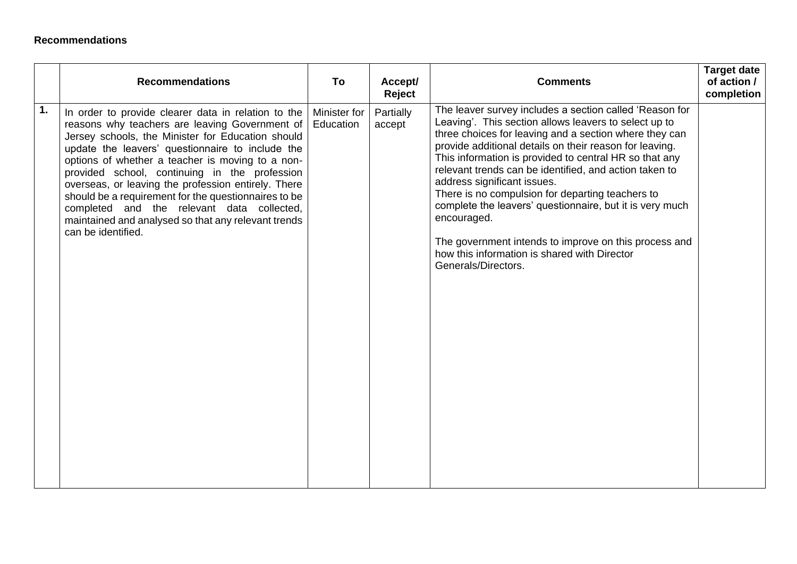### **Recommendations**

|    | <b>Recommendations</b>                                                                                                                                                                                                                                                                                                                                                                                                                                                                                                                                        | To                        | Accept/<br>Reject   | <b>Comments</b>                                                                                                                                                                                                                                                                                                                                                                                                                                                                                                                                                                                                                                         | <b>Target date</b><br>of action /<br>completion |
|----|---------------------------------------------------------------------------------------------------------------------------------------------------------------------------------------------------------------------------------------------------------------------------------------------------------------------------------------------------------------------------------------------------------------------------------------------------------------------------------------------------------------------------------------------------------------|---------------------------|---------------------|---------------------------------------------------------------------------------------------------------------------------------------------------------------------------------------------------------------------------------------------------------------------------------------------------------------------------------------------------------------------------------------------------------------------------------------------------------------------------------------------------------------------------------------------------------------------------------------------------------------------------------------------------------|-------------------------------------------------|
| 1. | In order to provide clearer data in relation to the<br>reasons why teachers are leaving Government of<br>Jersey schools, the Minister for Education should<br>update the leavers' questionnaire to include the<br>options of whether a teacher is moving to a non-<br>provided school, continuing in the profession<br>overseas, or leaving the profession entirely. There<br>should be a requirement for the questionnaires to be<br>completed and the relevant data collected,<br>maintained and analysed so that any relevant trends<br>can be identified. | Minister for<br>Education | Partially<br>accept | The leaver survey includes a section called 'Reason for<br>Leaving'. This section allows leavers to select up to<br>three choices for leaving and a section where they can<br>provide additional details on their reason for leaving.<br>This information is provided to central HR so that any<br>relevant trends can be identified, and action taken to<br>address significant issues.<br>There is no compulsion for departing teachers to<br>complete the leavers' questionnaire, but it is very much<br>encouraged.<br>The government intends to improve on this process and<br>how this information is shared with Director<br>Generals/Directors. |                                                 |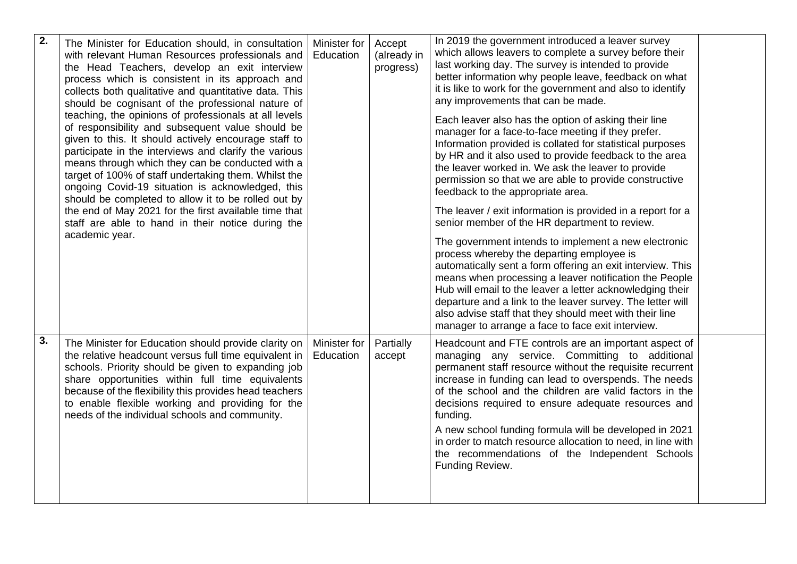| 2. | The Minister for Education should, in consultation<br>with relevant Human Resources professionals and<br>the Head Teachers, develop an exit interview<br>process which is consistent in its approach and<br>collects both qualitative and quantitative data. This<br>should be cognisant of the professional nature of<br>teaching, the opinions of professionals at all levels<br>of responsibility and subsequent value should be<br>given to this. It should actively encourage staff to<br>participate in the interviews and clarify the various<br>means through which they can be conducted with a<br>target of 100% of staff undertaking them. Whilst the<br>ongoing Covid-19 situation is acknowledged, this<br>should be completed to allow it to be rolled out by<br>the end of May 2021 for the first available time that<br>staff are able to hand in their notice during the<br>academic year. | Minister for<br>Education | Accept<br>(already in<br>progress) | In 2019 the government introduced a leaver survey<br>which allows leavers to complete a survey before their<br>last working day. The survey is intended to provide<br>better information why people leave, feedback on what<br>it is like to work for the government and also to identify<br>any improvements that can be made.<br>Each leaver also has the option of asking their line<br>manager for a face-to-face meeting if they prefer.<br>Information provided is collated for statistical purposes<br>by HR and it also used to provide feedback to the area<br>the leaver worked in. We ask the leaver to provide<br>permission so that we are able to provide constructive<br>feedback to the appropriate area.<br>The leaver / exit information is provided in a report for a<br>senior member of the HR department to review.<br>The government intends to implement a new electronic<br>process whereby the departing employee is<br>automatically sent a form offering an exit interview. This<br>means when processing a leaver notification the People<br>Hub will email to the leaver a letter acknowledging their<br>departure and a link to the leaver survey. The letter will<br>also advise staff that they should meet with their line<br>manager to arrange a face to face exit interview. |  |
|----|-------------------------------------------------------------------------------------------------------------------------------------------------------------------------------------------------------------------------------------------------------------------------------------------------------------------------------------------------------------------------------------------------------------------------------------------------------------------------------------------------------------------------------------------------------------------------------------------------------------------------------------------------------------------------------------------------------------------------------------------------------------------------------------------------------------------------------------------------------------------------------------------------------------|---------------------------|------------------------------------|-------------------------------------------------------------------------------------------------------------------------------------------------------------------------------------------------------------------------------------------------------------------------------------------------------------------------------------------------------------------------------------------------------------------------------------------------------------------------------------------------------------------------------------------------------------------------------------------------------------------------------------------------------------------------------------------------------------------------------------------------------------------------------------------------------------------------------------------------------------------------------------------------------------------------------------------------------------------------------------------------------------------------------------------------------------------------------------------------------------------------------------------------------------------------------------------------------------------------------------------------------------------------------------------------------------------|--|
| 3. | The Minister for Education should provide clarity on<br>the relative headcount versus full time equivalent in<br>schools. Priority should be given to expanding job<br>share opportunities within full time equivalents<br>because of the flexibility this provides head teachers<br>to enable flexible working and providing for the<br>needs of the individual schools and community.                                                                                                                                                                                                                                                                                                                                                                                                                                                                                                                     | Minister for<br>Education | Partially<br>accept                | Headcount and FTE controls are an important aspect of<br>managing any service. Committing to additional<br>permanent staff resource without the requisite recurrent<br>increase in funding can lead to overspends. The needs<br>of the school and the children are valid factors in the<br>decisions required to ensure adequate resources and<br>funding.<br>A new school funding formula will be developed in 2021<br>in order to match resource allocation to need, in line with<br>the recommendations of the Independent Schools<br>Funding Review.                                                                                                                                                                                                                                                                                                                                                                                                                                                                                                                                                                                                                                                                                                                                                          |  |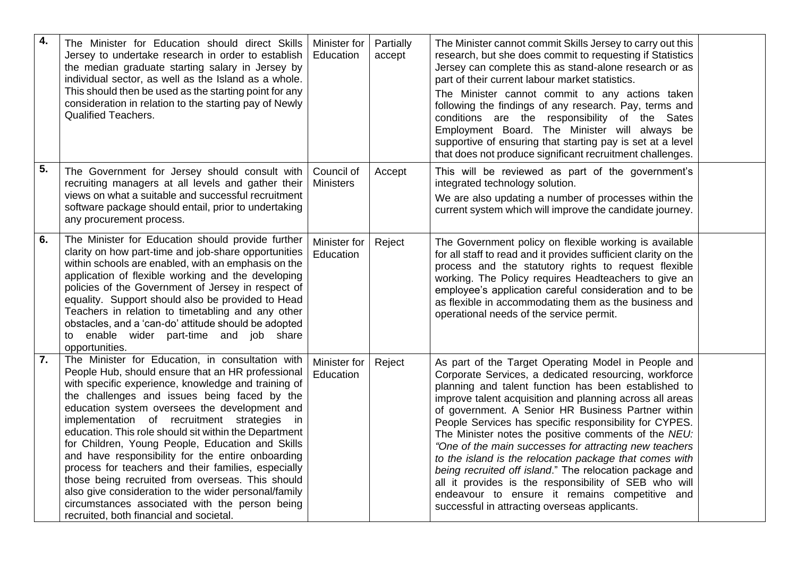| 4. | The Minister for Education should direct Skills<br>Jersey to undertake research in order to establish<br>the median graduate starting salary in Jersey by<br>individual sector, as well as the Island as a whole.<br>This should then be used as the starting point for any<br>consideration in relation to the starting pay of Newly<br>Qualified Teachers.                                                                                                                                                                                                                                                                                                                                                                                       | Minister for<br>Education      | Partially<br>accept | The Minister cannot commit Skills Jersey to carry out this<br>research, but she does commit to requesting if Statistics<br>Jersey can complete this as stand-alone research or as<br>part of their current labour market statistics.<br>The Minister cannot commit to any actions taken<br>following the findings of any research. Pay, terms and<br>conditions are the responsibility of the Sates<br>Employment Board. The Minister will always be<br>supportive of ensuring that starting pay is set at a level<br>that does not produce significant recruitment challenges.                                                                                                                                                                      |  |
|----|----------------------------------------------------------------------------------------------------------------------------------------------------------------------------------------------------------------------------------------------------------------------------------------------------------------------------------------------------------------------------------------------------------------------------------------------------------------------------------------------------------------------------------------------------------------------------------------------------------------------------------------------------------------------------------------------------------------------------------------------------|--------------------------------|---------------------|------------------------------------------------------------------------------------------------------------------------------------------------------------------------------------------------------------------------------------------------------------------------------------------------------------------------------------------------------------------------------------------------------------------------------------------------------------------------------------------------------------------------------------------------------------------------------------------------------------------------------------------------------------------------------------------------------------------------------------------------------|--|
| 5. | The Government for Jersey should consult with<br>recruiting managers at all levels and gather their<br>views on what a suitable and successful recruitment<br>software package should entail, prior to undertaking<br>any procurement process.                                                                                                                                                                                                                                                                                                                                                                                                                                                                                                     | Council of<br><b>Ministers</b> | Accept              | This will be reviewed as part of the government's<br>integrated technology solution.<br>We are also updating a number of processes within the<br>current system which will improve the candidate journey.                                                                                                                                                                                                                                                                                                                                                                                                                                                                                                                                            |  |
| 6. | The Minister for Education should provide further<br>clarity on how part-time and job-share opportunities<br>within schools are enabled, with an emphasis on the<br>application of flexible working and the developing<br>policies of the Government of Jersey in respect of<br>equality. Support should also be provided to Head<br>Teachers in relation to timetabling and any other<br>obstacles, and a 'can-do' attitude should be adopted<br>to enable wider part-time and job share<br>opportunities.                                                                                                                                                                                                                                        | Minister for<br>Education      | Reject              | The Government policy on flexible working is available<br>for all staff to read and it provides sufficient clarity on the<br>process and the statutory rights to request flexible<br>working. The Policy requires Headteachers to give an<br>employee's application careful consideration and to be<br>as flexible in accommodating them as the business and<br>operational needs of the service permit.                                                                                                                                                                                                                                                                                                                                             |  |
| 7. | The Minister for Education, in consultation with<br>People Hub, should ensure that an HR professional<br>with specific experience, knowledge and training of<br>the challenges and issues being faced by the<br>education system oversees the development and<br>implementation of recruitment strategies<br>in.<br>education. This role should sit within the Department<br>for Children, Young People, Education and Skills<br>and have responsibility for the entire onboarding<br>process for teachers and their families, especially<br>those being recruited from overseas. This should<br>also give consideration to the wider personal/family<br>circumstances associated with the person being<br>recruited, both financial and societal. | Minister for<br>Education      | Reject              | As part of the Target Operating Model in People and<br>Corporate Services, a dedicated resourcing, workforce<br>planning and talent function has been established to<br>improve talent acquisition and planning across all areas<br>of government. A Senior HR Business Partner within<br>People Services has specific responsibility for CYPES.<br>The Minister notes the positive comments of the NEU:<br>"One of the main successes for attracting new teachers<br>to the island is the relocation package that comes with<br>being recruited off island." The relocation package and<br>all it provides is the responsibility of SEB who will<br>endeavour to ensure it remains competitive and<br>successful in attracting overseas applicants. |  |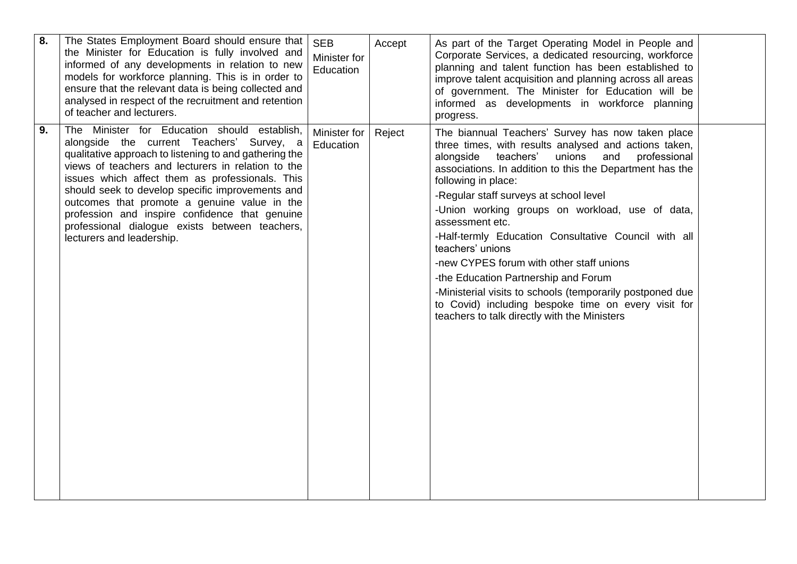| 8. | The States Employment Board should ensure that<br>the Minister for Education is fully involved and<br>informed of any developments in relation to new<br>models for workforce planning. This is in order to<br>ensure that the relevant data is being collected and<br>analysed in respect of the recruitment and retention<br>of teacher and lecturers.                                                                                                                                          | <b>SEB</b><br>Minister for<br>Education | Accept | As part of the Target Operating Model in People and<br>Corporate Services, a dedicated resourcing, workforce<br>planning and talent function has been established to<br>improve talent acquisition and planning across all areas<br>of government. The Minister for Education will be<br>informed as developments in workforce planning<br>progress.                                                                                                                                                                                                                                                                                                                                                         |  |
|----|---------------------------------------------------------------------------------------------------------------------------------------------------------------------------------------------------------------------------------------------------------------------------------------------------------------------------------------------------------------------------------------------------------------------------------------------------------------------------------------------------|-----------------------------------------|--------|--------------------------------------------------------------------------------------------------------------------------------------------------------------------------------------------------------------------------------------------------------------------------------------------------------------------------------------------------------------------------------------------------------------------------------------------------------------------------------------------------------------------------------------------------------------------------------------------------------------------------------------------------------------------------------------------------------------|--|
| 9. | The Minister for Education should establish,<br>alongside the current Teachers' Survey, a<br>qualitative approach to listening to and gathering the<br>views of teachers and lecturers in relation to the<br>issues which affect them as professionals. This<br>should seek to develop specific improvements and<br>outcomes that promote a genuine value in the<br>profession and inspire confidence that genuine<br>professional dialogue exists between teachers,<br>lecturers and leadership. | Minister for<br>Education               | Reject | The biannual Teachers' Survey has now taken place<br>three times, with results analysed and actions taken,<br>and<br>alongside<br>teachers'<br>unions<br>professional<br>associations. In addition to this the Department has the<br>following in place:<br>-Regular staff surveys at school level<br>-Union working groups on workload, use of data,<br>assessment etc.<br>-Half-termly Education Consultative Council with all<br>teachers' unions<br>-new CYPES forum with other staff unions<br>-the Education Partnership and Forum<br>-Ministerial visits to schools (temporarily postponed due<br>to Covid) including bespoke time on every visit for<br>teachers to talk directly with the Ministers |  |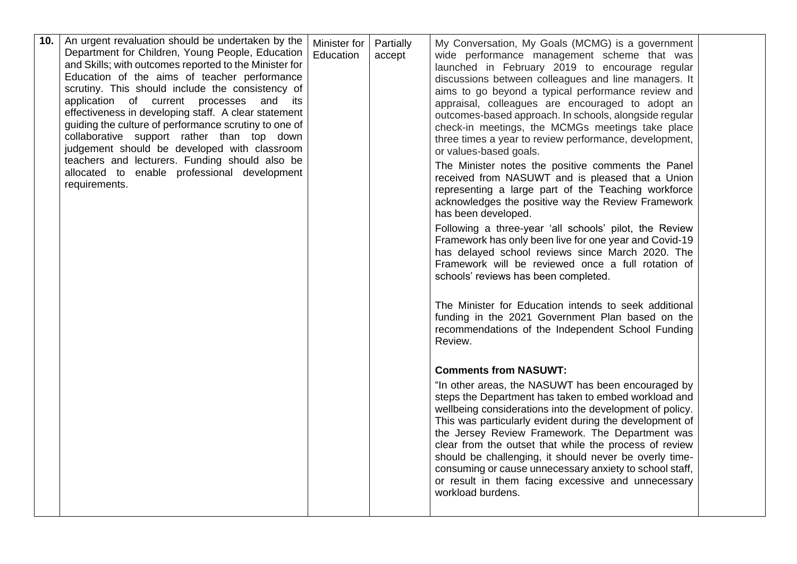| 10. | An urgent revaluation should be undertaken by the<br>Department for Children, Young People, Education<br>and Skills; with outcomes reported to the Minister for<br>Education of the aims of teacher performance<br>scrutiny. This should include the consistency of<br>application of current processes<br>and<br>its<br>effectiveness in developing staff. A clear statement<br>guiding the culture of performance scrutiny to one of<br>collaborative support rather than top down<br>judgement should be developed with classroom<br>teachers and lecturers. Funding should also be<br>allocated to enable professional development<br>requirements. | Minister for<br>Education | Partially<br>accept | My Conversation, My Goals (MCMG) is a government<br>wide performance management scheme that was<br>launched in February 2019 to encourage regular<br>discussions between colleagues and line managers. It<br>aims to go beyond a typical performance review and<br>appraisal, colleagues are encouraged to adopt an<br>outcomes-based approach. In schools, alongside regular<br>check-in meetings, the MCMGs meetings take place<br>three times a year to review performance, development,<br>or values-based goals.<br>The Minister notes the positive comments the Panel<br>received from NASUWT and is pleased that a Union<br>representing a large part of the Teaching workforce<br>acknowledges the positive way the Review Framework<br>has been developed.<br>Following a three-year 'all schools' pilot, the Review<br>Framework has only been live for one year and Covid-19<br>has delayed school reviews since March 2020. The<br>Framework will be reviewed once a full rotation of<br>schools' reviews has been completed.<br>The Minister for Education intends to seek additional<br>funding in the 2021 Government Plan based on the<br>recommendations of the Independent School Funding<br>Review. |  |
|-----|---------------------------------------------------------------------------------------------------------------------------------------------------------------------------------------------------------------------------------------------------------------------------------------------------------------------------------------------------------------------------------------------------------------------------------------------------------------------------------------------------------------------------------------------------------------------------------------------------------------------------------------------------------|---------------------------|---------------------|------------------------------------------------------------------------------------------------------------------------------------------------------------------------------------------------------------------------------------------------------------------------------------------------------------------------------------------------------------------------------------------------------------------------------------------------------------------------------------------------------------------------------------------------------------------------------------------------------------------------------------------------------------------------------------------------------------------------------------------------------------------------------------------------------------------------------------------------------------------------------------------------------------------------------------------------------------------------------------------------------------------------------------------------------------------------------------------------------------------------------------------------------------------------------------------------------------------------|--|
|     |                                                                                                                                                                                                                                                                                                                                                                                                                                                                                                                                                                                                                                                         |                           |                     | <b>Comments from NASUWT:</b><br>"In other areas, the NASUWT has been encouraged by<br>steps the Department has taken to embed workload and<br>wellbeing considerations into the development of policy.<br>This was particularly evident during the development of<br>the Jersey Review Framework. The Department was<br>clear from the outset that while the process of review<br>should be challenging, it should never be overly time-<br>consuming or cause unnecessary anxiety to school staff,<br>or result in them facing excessive and unnecessary<br>workload burdens.                                                                                                                                                                                                                                                                                                                                                                                                                                                                                                                                                                                                                                         |  |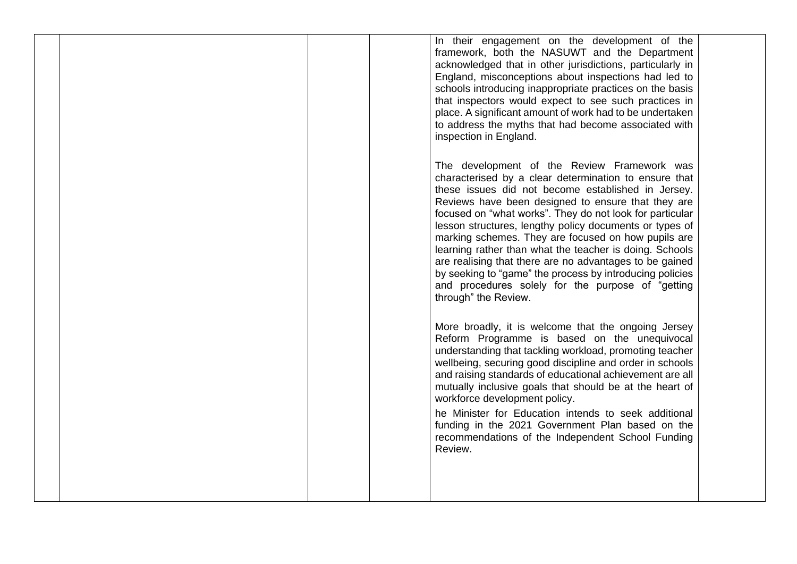In their engagement on the development of the framework, both the NASUWT and the Department acknowledged that in other jurisdictions, particularly in England, misconceptions about inspections had led to schools introducing inappropriate practices on the basis that inspectors would expect to see such practices in place. A significant amount of work had to be undertaken to address the myths that had become associated with inspection in England. The development of the Review Framework was characterised by a clear determination to ensure that these issues did not become established in Jersey. Reviews have been designed to ensure that they are focused on "what works". They do not look for particular lesson structures, lengthy policy documents or types of marking schemes. They are focused on how pupils are learning rather than what the teacher is doing. Schools are realising that there are no advantages to be gained by seeking to "game" the process by introducing policies and procedures solely for the purpose of "getting through" the Review. More broadly, it is welcome that the ongoing Jersey Reform Programme is based on the unequivocal understanding that tackling workload, promoting teacher wellbeing, securing good discipline and order in schools and raising standards of educational achievement are all mutually inclusive goals that should be at the heart of workforce development policy. he Minister for Education intends to seek additional funding in the 2021 Government Plan based on the recommendations of the Independent School Funding Review.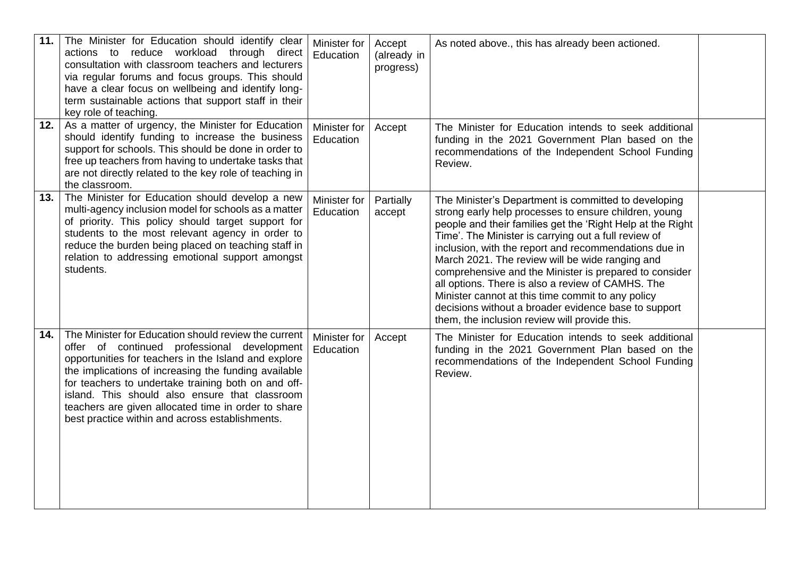| 11. | The Minister for Education should identify clear<br>actions to reduce workload through direct<br>consultation with classroom teachers and lecturers<br>via regular forums and focus groups. This should<br>have a clear focus on wellbeing and identify long-<br>term sustainable actions that support staff in their<br>key role of teaching.                                                                                         | Minister for<br>Education | Accept<br>(already in<br>progress) | As noted above., this has already been actioned.                                                                                                                                                                                                                                                                                                                                                                                                                                                                                                                                                                             |  |
|-----|----------------------------------------------------------------------------------------------------------------------------------------------------------------------------------------------------------------------------------------------------------------------------------------------------------------------------------------------------------------------------------------------------------------------------------------|---------------------------|------------------------------------|------------------------------------------------------------------------------------------------------------------------------------------------------------------------------------------------------------------------------------------------------------------------------------------------------------------------------------------------------------------------------------------------------------------------------------------------------------------------------------------------------------------------------------------------------------------------------------------------------------------------------|--|
| 12. | As a matter of urgency, the Minister for Education<br>should identify funding to increase the business<br>support for schools. This should be done in order to<br>free up teachers from having to undertake tasks that<br>are not directly related to the key role of teaching in<br>the classroom.                                                                                                                                    | Minister for<br>Education | Accept                             | The Minister for Education intends to seek additional<br>funding in the 2021 Government Plan based on the<br>recommendations of the Independent School Funding<br>Review.                                                                                                                                                                                                                                                                                                                                                                                                                                                    |  |
| 13. | The Minister for Education should develop a new<br>multi-agency inclusion model for schools as a matter<br>of priority. This policy should target support for<br>students to the most relevant agency in order to<br>reduce the burden being placed on teaching staff in<br>relation to addressing emotional support amongst<br>students.                                                                                              | Minister for<br>Education | Partially<br>accept                | The Minister's Department is committed to developing<br>strong early help processes to ensure children, young<br>people and their families get the 'Right Help at the Right<br>Time'. The Minister is carrying out a full review of<br>inclusion, with the report and recommendations due in<br>March 2021. The review will be wide ranging and<br>comprehensive and the Minister is prepared to consider<br>all options. There is also a review of CAMHS. The<br>Minister cannot at this time commit to any policy<br>decisions without a broader evidence base to support<br>them, the inclusion review will provide this. |  |
| 14. | The Minister for Education should review the current<br>offer of continued professional development<br>opportunities for teachers in the Island and explore<br>the implications of increasing the funding available<br>for teachers to undertake training both on and off-<br>island. This should also ensure that classroom<br>teachers are given allocated time in order to share<br>best practice within and across establishments. | Minister for<br>Education | Accept                             | The Minister for Education intends to seek additional<br>funding in the 2021 Government Plan based on the<br>recommendations of the Independent School Funding<br>Review.                                                                                                                                                                                                                                                                                                                                                                                                                                                    |  |